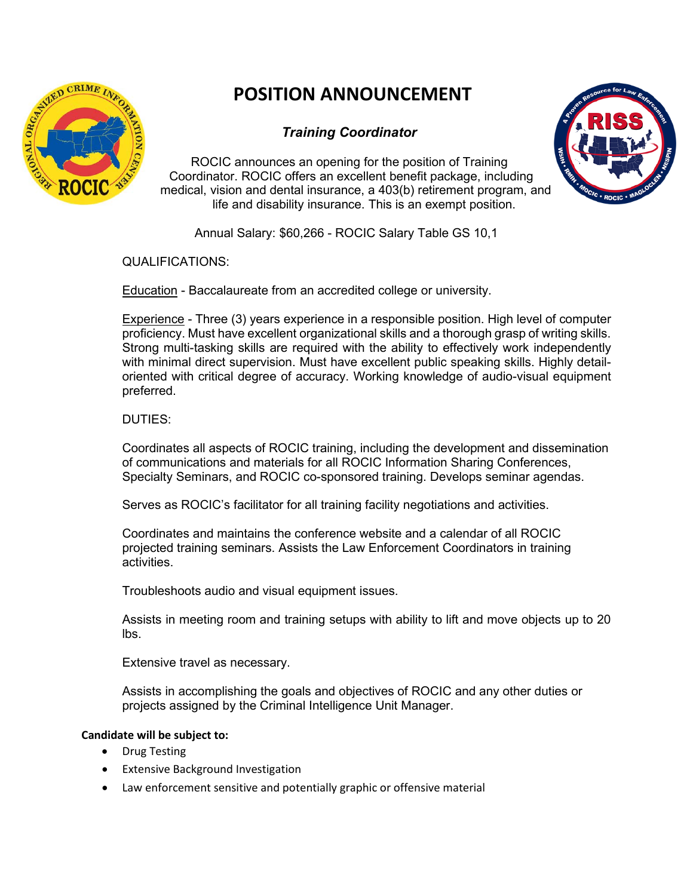

# **POSITION ANNOUNCEMENT**

## *Training Coordinator*

ROCIC announces an opening for the position of Training Coordinator. ROCIC offers an excellent benefit package, including medical, vision and dental insurance, a 403(b) retirement program, and life and disability insurance. This is an exempt position.



Annual Salary: \$60,266 - ROCIC Salary Table GS 10,1

QUALIFICATIONS:

Education - Baccalaureate from an accredited college or university.

Experience - Three (3) years experience in a responsible position. High level of computer proficiency. Must have excellent organizational skills and a thorough grasp of writing skills. Strong multi-tasking skills are required with the ability to effectively work independently with minimal direct supervision. Must have excellent public speaking skills. Highly detailoriented with critical degree of accuracy. Working knowledge of audio-visual equipment preferred.

### DUTIES:

Coordinates all aspects of ROCIC training, including the development and dissemination of communications and materials for all ROCIC Information Sharing Conferences, Specialty Seminars, and ROCIC co-sponsored training. Develops seminar agendas.

Serves as ROCIC's facilitator for all training facility negotiations and activities.

Coordinates and maintains the conference website and a calendar of all ROCIC projected training seminars. Assists the Law Enforcement Coordinators in training activities.

Troubleshoots audio and visual equipment issues.

Assists in meeting room and training setups with ability to lift and move objects up to 20 lbs.

Extensive travel as necessary.

Assists in accomplishing the goals and objectives of ROCIC and any other duties or projects assigned by the Criminal Intelligence Unit Manager.

#### **Candidate will be subject to:**

- Drug Testing
- **Extensive Background Investigation**
- Law enforcement sensitive and potentially graphic or offensive material